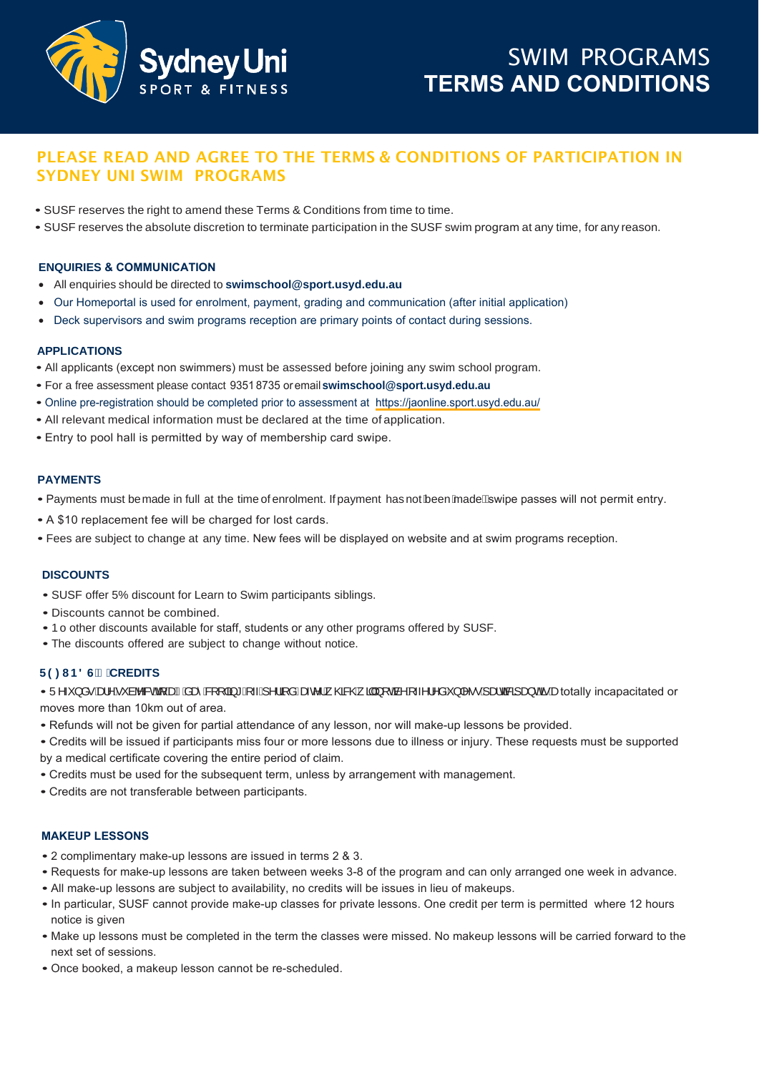

# PLEASE READ AND AGREE TO THE TERMS & CONDITIONS OF PARTICIPATION IN SYDNEY UNI SWIM PROGRAMS

- SUSF reserves the right to amend these Terms & Conditions from time to time.
- SUSF reserves the absolute discretion to terminate participation in the SUSF swim program at any time, for any reason.

# **ENQUIRIES & COMMUNICATION**

- All enquiries should be directed to **swimschool@sport.usyd.edu.au**
- Our Homeportal is used for enrolment, payment, grading and communication (after initial application)
- Deck supervisors and swim programs reception are primary points of contact during sessions.

# **APPLICATIONS**

- All applicants (except non swimmers) must be assessed before joining any swim school program.
- For a free assessment please contact 9351 8735 or email **swimschool@sport.usyd.edu.au**
- Online pre-registration should be completed prior to assessment at <https://jaonline.sport.usyd.edu.au/>
- All relevant medical information must [be declared at the time of](mailto:swimschool@sport.usyd.edu.au) application.
- Entry to pool hall is permitted by way of membership card swipe.

# **PAYMENTS**

- Payments must bemade in full at the time of enrolment. If payment has not been made Eswipe passes will not permit entry.
- A \$10 replacement fee will be charged for lost cards.
- Fees are subject to change at any time. New fees will be displayed on website and at swim programs reception.

#### **DISCOUNTS**

- SUSF offer 5% discount for Learn to Swim participants siblings.
- Discounts cannot be combined.
- bo other discounts available for staff, students or any other programs offered by SUSF.
- The discounts offered are subject to change without notice.

#### **5()81'6 CREDITS**

• Ü^~}å•Ádo^Á~àb&oAq{ÁdàÁlae&q[|a]\*Á{~Á^¦ą̃åÊæc^¦Á{@&@Á]ajÁ[œÁ^Á~^¦^åÁ}|^••Ákada&a}a}o4ãekbotally incapacitated or moves more than 10km out of area.

- Refunds will not be given for partial attendance of any lesson, nor will make-up lessons be provided.
- Credits will be issued if participants miss four or more lessons due to illness or injury. These requests must be supported by a medical certificate covering the entire period of claim.
- Credits must be used for the subsequent term, unless by arrangement with management.
- Credits are not transferable between participants.

# **MAKEUP LESSONS**

- 2 complimentary make-up lessons are issued in terms 2 & 3.
- Requests for make-up lessons are taken between weeks 3-8 of the program and can only arranged one week in advance.
- All make-up lessons are subject to availability, no credits will be issues in lieu of makeups.
- In particular, SUSF cannot provide make-up classes for private lessons. One credit per term is permitted where 12 hours notice is given
- Make up lessons must be completed in the term the classes were missed. No makeup lessons will be carried forward to the next set of sessions.
- Once booked, a makeup lesson cannot be re-scheduled.